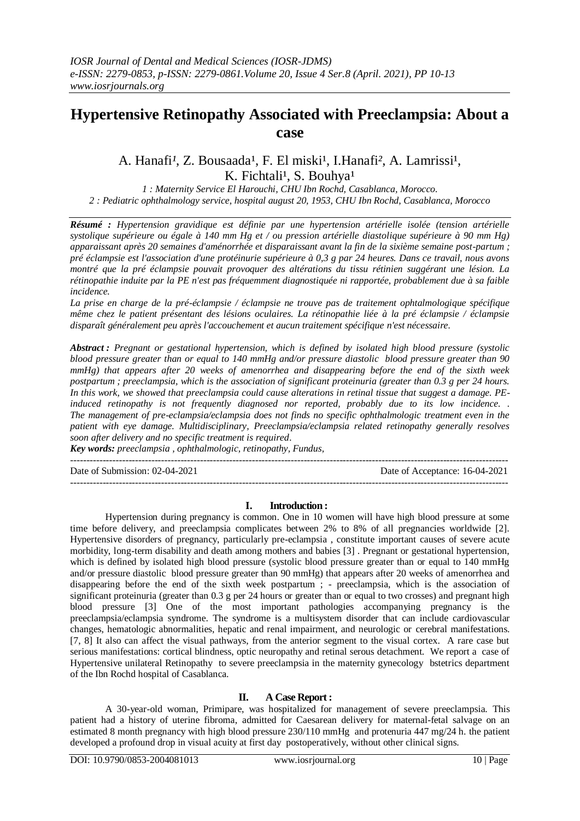# **Hypertensive Retinopathy Associated with Preeclampsia: About a case**

## A. Hanafi<sup>1</sup>, Z. Bousaada<sup>1</sup>, F. El miski<sup>1</sup>, I. Hanafi<sup>2</sup>, A. Lamrissi<sup>1</sup>, K. Fichtali<sup>1</sup>, S. Bouhya<sup>1</sup>

*1 : Maternity Service El Harouchi, CHU Ibn Rochd, Casablanca, Morocco. 2 : Pediatric ophthalmology service, hospital august 20, 1953, CHU Ibn Rochd, Casablanca, Morocco*

*Résumé : Hypertension gravidique est définie par une hypertension artérielle isolée (tension artérielle systolique supérieure ou égale à 140 mm Hg et / ou pression artérielle diastolique supérieure à 90 mm Hg) apparaissant après 20 semaines d'aménorrhée et disparaissant avant la fin de la sixième semaine post-partum ; pré éclampsie est l'association d'une protéinurie supérieure à 0,3 g par 24 heures. Dans ce travail, nous avons montré que la pré éclampsie pouvait provoquer des altérations du tissu rétinien suggérant une lésion. La rétinopathie induite par la PE n'est pas fréquemment diagnostiquée ni rapportée, probablement due à sa faible incidence.*

*La prise en charge de la pré-éclampsie / éclampsie ne trouve pas de traitement ophtalmologique spécifique même chez le patient présentant des lésions oculaires. La rétinopathie liée à la pré éclampsie / éclampsie disparaît généralement peu après l'accouchement et aucun traitement spécifique n'est nécessaire.*

*Abstract : Pregnant or gestational hypertension, which is defined by isolated high blood pressure (systolic blood pressure greater than or equal to 140 mmHg and/or pressure diastolic blood pressure greater than 90 mmHg) that appears after 20 weeks of amenorrhea and disappearing before the end of the sixth week postpartum ; preeclampsia, which is the association of significant proteinuria (greater than 0.3 g per 24 hours. In this work, we showed that preeclampsia could cause alterations in retinal tissue that suggest a damage. PEinduced retinopathy is not frequently diagnosed nor reported, probably due to its low incidence. . The management of pre-eclampsia/eclampsia does not finds no specific ophthalmologic treatment even in the patient with eye damage. Multidisciplinary, Preeclampsia/eclampsia related retinopathy generally resolves soon after delivery and no specific treatment is required.*

*Key words: preeclampsia , ophthalmologic, retinopathy, Fundus,* ---------------------------------------------------------------------------------------------------------------------------------------

Date of Submission: 02-04-2021 Date of Acceptance: 16-04-2021

---------------------------------------------------------------------------------------------------------------------------------------

#### **I. Introduction :**

Hypertension during pregnancy is common. One in 10 women will have high blood pressure at some time before delivery, and preeclampsia complicates between 2% to 8% of all pregnancies worldwide [2]. Hypertensive disorders of pregnancy, particularly pre-eclampsia , constitute important causes of severe acute morbidity, long-term disability and death among mothers and babies [3] . Pregnant or gestational hypertension, which is defined by isolated high blood pressure (systolic blood pressure greater than or equal to 140 mmHg and/or pressure diastolic blood pressure greater than 90 mmHg) that appears after 20 weeks of amenorrhea and disappearing before the end of the sixth week postpartum ; - preeclampsia, which is the association of significant proteinuria (greater than 0.3 g per 24 hours or greater than or equal to two crosses) and pregnant high blood pressure [3] One of the most important pathologies accompanying pregnancy is the preeclampsia/eclampsia syndrome. The syndrome is a multisystem disorder that can include cardiovascular changes, hematologic abnormalities, hepatic and renal impairment, and neurologic or cerebral manifestations. [7, 8] It also can affect the visual pathways, from the anterior segment to the visual cortex. A rare case but serious manifestations: cortical blindness, optic neuropathy and retinal serous detachment. We report a case of Hypertensive unilateral Retinopathy to severe preeclampsia in the maternity gynecology bstetrics department of the Ibn Rochd hospital of Casablanca.

## **II. A Case Report :**

A 30-year-old woman, Primipare, was hospitalized for management of severe preeclampsia. This patient had a history of uterine fibroma, admitted for Caesarean delivery for maternal-fetal salvage on an estimated 8 month pregnancy with high blood pressure 230/110 mmHg and protenuria 447 mg/24 h. the patient developed a profound drop in visual acuity at first day postoperatively, without other clinical signs.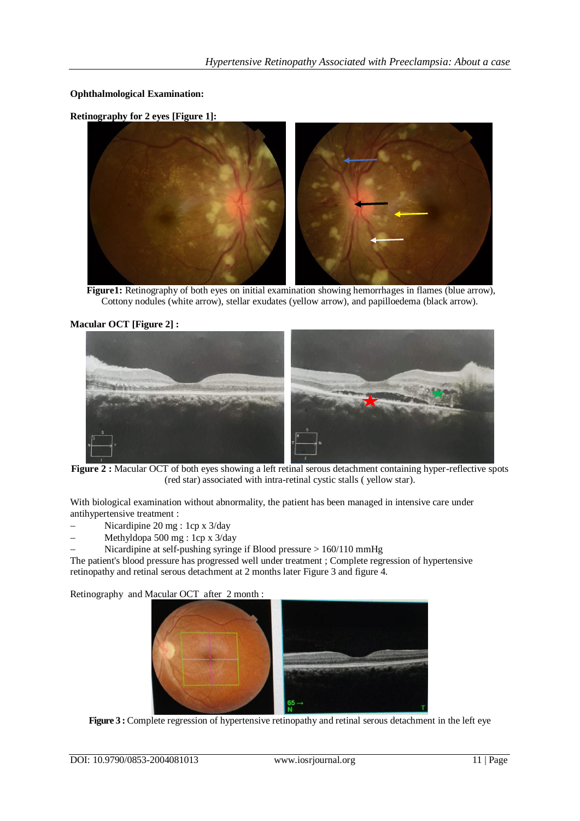**Ophthalmological Examination:**

**Retinography for 2 eyes [Figure 1]:**



**Figure1:** Retinography of both eyes on initial examination showing hemorrhages in flames (blue arrow), Cottony nodules (white arrow), stellar exudates (yellow arrow), and papilloedema (black arrow).

## **Macular OCT [Figure 2] :**



**Figure 2 :** Macular OCT of both eyes showing a left retinal serous detachment containing hyper-reflective spots (red star) associated with intra-retinal cystic stalls ( yellow star).

With biological examination without abnormality, the patient has been managed in intensive care under antihypertensive treatment :

- Nicardipine 20 mg : 1cp x 3/day
- Methyldopa 500 mg : 1cp x 3/day
- Nicardipine at self-pushing syringe if Blood pressure > 160/110 mmHg

The patient's blood pressure has progressed well under treatment ; Complete regression of hypertensive retinopathy and retinal serous detachment at 2 months later Figure 3 and figure 4.

Retinography and Macular OCT after 2 month :



**Figure 3:** Complete regression of hypertensive retinopathy and retinal serous detachment in the left eye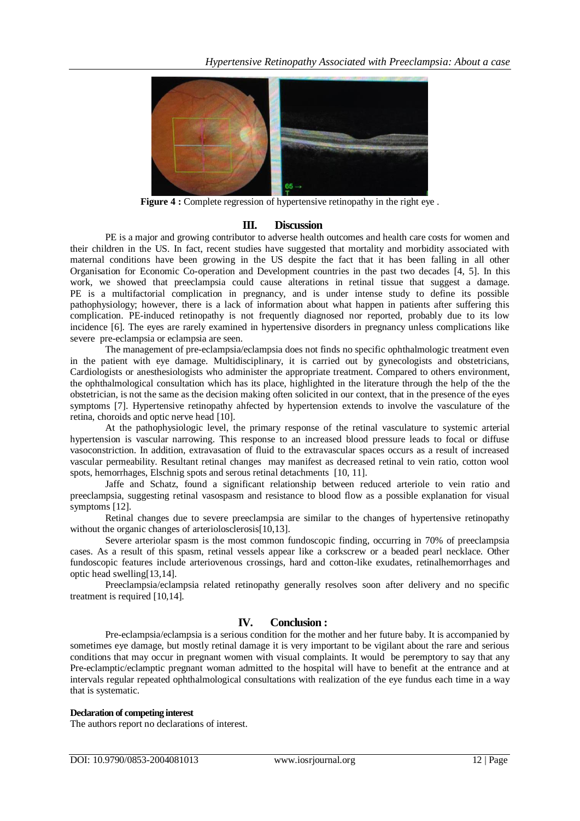

**Figure 4 :** Complete regression of hypertensive retinopathy in the right eye.

## **III. Discussion**

PE is a major and growing contributor to adverse health outcomes and health care costs for women and their children in the US. In fact, recent studies have suggested that mortality and morbidity associated with maternal conditions have been growing in the US despite the fact that it has been falling in all other Organisation for Economic Co-operation and Development countries in the past two decades [4, 5]. In this work, we showed that preeclampsia could cause alterations in retinal tissue that suggest a damage. PE is a multifactorial complication in pregnancy, and is under intense study to define its possible pathophysiology; however, there is a lack of information about what happen in patients after suffering this complication. PE-induced retinopathy is not frequently diagnosed nor reported, probably due to its low incidence [6]. The eyes are rarely examined in hypertensive disorders in pregnancy unless complications like severe pre-eclampsia or eclampsia are seen.

The management of pre-eclampsia/eclampsia does not finds no specific ophthalmologic treatment even in the patient with eye damage. Multidisciplinary, it is carried out by gynecologists and obstetricians, Cardiologists or anesthesiologists who administer the appropriate treatment. Compared to others environment, the ophthalmological consultation which has its place, highlighted in the literature through the help of the the obstetrician, is not the same as the decision making often solicited in our context, that in the presence of the eyes symptoms [7]. Hypertensive retinopathy ahfected by hypertension extends to involve the vasculature of the retina, choroids and optic nerve head [10].

At the pathophysiologic level, the primary response of the retinal vasculature to systemic arterial hypertension is vascular narrowing. This response to an increased blood pressure leads to focal or diffuse vasoconstriction. In addition, extravasation of fluid to the extravascular spaces occurs as a result of increased vascular permeability. Resultant retinal changes may manifest as decreased retinal to vein ratio, cotton wool spots, hemorrhages, Elschnig spots and serous retinal detachments [10, 11].

Jaffe and Schatz, found a significant relationship between reduced arteriole to vein ratio and preeclampsia, suggesting retinal vasospasm and resistance to blood flow as a possible explanation for visual symptoms [12].

Retinal changes due to severe preeclampsia are similar to the changes of hypertensive retinopathy without the organic changes of arteriolosclerosis[10,13].

Severe arteriolar spasm is the most common fundoscopic finding, occurring in 70% of preeclampsia cases. As a result of this spasm, retinal vessels appear like a corkscrew or a beaded pearl necklace. Other fundoscopic features include arteriovenous crossings, hard and cotton-like exudates, retinalhemorrhages and optic head swelling[13,14].

Preeclampsia/eclampsia related retinopathy generally resolves soon after delivery and no specific treatment is required [10,14].

## **IV. Conclusion :**

Pre-eclampsia/eclampsia is a serious condition for the mother and her future baby. It is accompanied by sometimes eye damage, but mostly retinal damage it is very important to be vigilant about the rare and serious conditions that may occur in pregnant women with visual complaints. It would be peremptory to say that any Pre-eclamptic/eclamptic pregnant woman admitted to the hospital will have to benefit at the entrance and at intervals regular repeated ophthalmological consultations with realization of the eye fundus each time in a way that is systematic.

#### **Declaration of competing interest**

The authors report no declarations of interest.